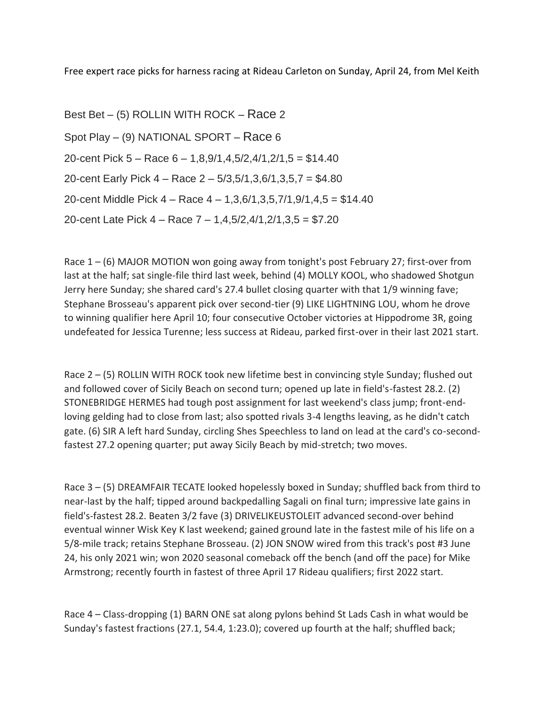Free expert race picks for harness racing at Rideau Carleton on Sunday, April 24, from Mel Keith

Best Bet – (5) ROLLIN WITH ROCK – Race 2 Spot Play – (9) NATIONAL SPORT – Race 6 20-cent Pick 5 – Race 6 – 1,8,9/1,4,5/2,4/1,2/1,5 = \$14.40 20-cent Early Pick 4 – Race 2 – 5/3,5/1,3,6/1,3,5,7 = \$4.80 20-cent Middle Pick 4 – Race 4 – 1,3,6/1,3,5,7/1,9/1,4,5 = \$14.40 20-cent Late Pick 4 – Race 7 – 1,4,5/2,4/1,2/1,3,5 = \$7.20

Race  $1 - (6)$  MAJOR MOTION won going away from tonight's post February 27; first-over from last at the half; sat single-file third last week, behind (4) MOLLY KOOL, who shadowed Shotgun Jerry here Sunday; she shared card's 27.4 bullet closing quarter with that 1/9 winning fave; Stephane Brosseau's apparent pick over second-tier (9) LIKE LIGHTNING LOU, whom he drove to winning qualifier here April 10; four consecutive October victories at Hippodrome 3R, going undefeated for Jessica Turenne; less success at Rideau, parked first-over in their last 2021 start.

Race  $2 - (5)$  ROLLIN WITH ROCK took new lifetime best in convincing style Sunday; flushed out and followed cover of Sicily Beach on second turn; opened up late in field's-fastest 28.2. (2) STONEBRIDGE HERMES had tough post assignment for last weekend's class jump; front-endloving gelding had to close from last; also spotted rivals 3-4 lengths leaving, as he didn't catch gate. (6) SIR A left hard Sunday, circling Shes Speechless to land on lead at the card's co-secondfastest 27.2 opening quarter; put away Sicily Beach by mid-stretch; two moves.

Race 3 – (5) DREAMFAIR TECATE looked hopelessly boxed in Sunday; shuffled back from third to near-last by the half; tipped around backpedalling Sagali on final turn; impressive late gains in field's-fastest 28.2. Beaten 3/2 fave (3) DRIVELIKEUSTOLEIT advanced second-over behind eventual winner Wisk Key K last weekend; gained ground late in the fastest mile of his life on a 5/8-mile track; retains Stephane Brosseau. (2) JON SNOW wired from this track's post #3 June 24, his only 2021 win; won 2020 seasonal comeback off the bench (and off the pace) for Mike Armstrong; recently fourth in fastest of three April 17 Rideau qualifiers; first 2022 start.

Race 4 – Class-dropping (1) BARN ONE sat along pylons behind St Lads Cash in what would be Sunday's fastest fractions (27.1, 54.4, 1:23.0); covered up fourth at the half; shuffled back;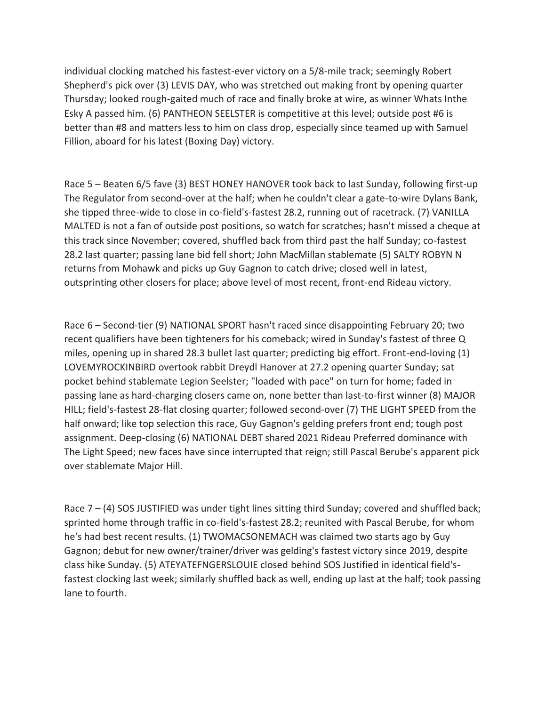individual clocking matched his fastest-ever victory on a 5/8-mile track; seemingly Robert Shepherd's pick over (3) LEVIS DAY, who was stretched out making front by opening quarter Thursday; looked rough-gaited much of race and finally broke at wire, as winner Whats Inthe Esky A passed him. (6) PANTHEON SEELSTER is competitive at this level; outside post #6 is better than #8 and matters less to him on class drop, especially since teamed up with Samuel Fillion, aboard for his latest (Boxing Day) victory.

Race 5 – Beaten 6/5 fave (3) BEST HONEY HANOVER took back to last Sunday, following first-up The Regulator from second-over at the half; when he couldn't clear a gate-to-wire Dylans Bank, she tipped three-wide to close in co-field's-fastest 28.2, running out of racetrack. (7) VANILLA MALTED is not a fan of outside post positions, so watch for scratches; hasn't missed a cheque at this track since November; covered, shuffled back from third past the half Sunday; co-fastest 28.2 last quarter; passing lane bid fell short; John MacMillan stablemate (5) SALTY ROBYN N returns from Mohawk and picks up Guy Gagnon to catch drive; closed well in latest, outsprinting other closers for place; above level of most recent, front-end Rideau victory.

Race 6 – Second-tier (9) NATIONAL SPORT hasn't raced since disappointing February 20; two recent qualifiers have been tighteners for his comeback; wired in Sunday's fastest of three Q miles, opening up in shared 28.3 bullet last quarter; predicting big effort. Front-end-loving (1) LOVEMYROCKINBIRD overtook rabbit Dreydl Hanover at 27.2 opening quarter Sunday; sat pocket behind stablemate Legion Seelster; "loaded with pace" on turn for home; faded in passing lane as hard-charging closers came on, none better than last-to-first winner (8) MAJOR HILL; field's-fastest 28-flat closing quarter; followed second-over (7) THE LIGHT SPEED from the half onward; like top selection this race, Guy Gagnon's gelding prefers front end; tough post assignment. Deep-closing (6) NATIONAL DEBT shared 2021 Rideau Preferred dominance with The Light Speed; new faces have since interrupted that reign; still Pascal Berube's apparent pick over stablemate Major Hill.

Race  $7 - (4)$  SOS JUSTIFIED was under tight lines sitting third Sunday; covered and shuffled back; sprinted home through traffic in co-field's-fastest 28.2; reunited with Pascal Berube, for whom he's had best recent results. (1) TWOMACSONEMACH was claimed two starts ago by Guy Gagnon; debut for new owner/trainer/driver was gelding's fastest victory since 2019, despite class hike Sunday. (5) ATEYATEFNGERSLOUIE closed behind SOS Justified in identical field'sfastest clocking last week; similarly shuffled back as well, ending up last at the half; took passing lane to fourth.